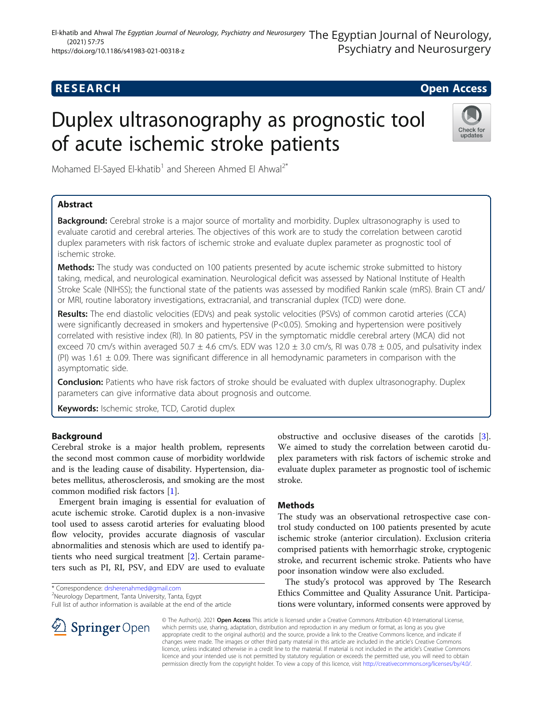## **RESEARCH CHE Open Access**

# Duplex ultrasonography as prognostic tool of acute ischemic stroke patients



Mohamed El-Sayed El-khatib<sup>1</sup> and Shereen Ahmed El Ahwal<sup>2\*</sup>

## Abstract

**Background:** Cerebral stroke is a major source of mortality and morbidity. Duplex ultrasonography is used to evaluate carotid and cerebral arteries. The objectives of this work are to study the correlation between carotid duplex parameters with risk factors of ischemic stroke and evaluate duplex parameter as prognostic tool of ischemic stroke.

Methods: The study was conducted on 100 patients presented by acute ischemic stroke submitted to history taking, medical, and neurological examination. Neurological deficit was assessed by National Institute of Health Stroke Scale (NIHSS); the functional state of the patients was assessed by modified Rankin scale (mRS). Brain CT and/ or MRI, routine laboratory investigations, extracranial, and transcranial duplex (TCD) were done.

Results: The end diastolic velocities (EDVs) and peak systolic velocities (PSVs) of common carotid arteries (CCA) were significantly decreased in smokers and hypertensive (P<0.05). Smoking and hypertension were positively correlated with resistive index (RI). In 80 patients, PSV in the symptomatic middle cerebral artery (MCA) did not exceed 70 cm/s within averaged 50.7  $\pm$  4.6 cm/s. EDV was 12.0  $\pm$  3.0 cm/s, RI was 0.78  $\pm$  0.05, and pulsativity index (PI) was  $1.61 \pm 0.09$ . There was significant difference in all hemodynamic parameters in comparison with the asymptomatic side.

**Conclusion:** Patients who have risk factors of stroke should be evaluated with duplex ultrasonography. Duplex parameters can give informative data about prognosis and outcome.

Keywords: Ischemic stroke, TCD, Carotid duplex

## Background

Cerebral stroke is a major health problem, represents the second most common cause of morbidity worldwide and is the leading cause of disability. Hypertension, diabetes mellitus, atherosclerosis, and smoking are the most common modified risk factors [\[1](#page-3-0)].

Emergent brain imaging is essential for evaluation of acute ischemic stroke. Carotid duplex is a non-invasive tool used to assess carotid arteries for evaluating blood flow velocity, provides accurate diagnosis of vascular abnormalities and stenosis which are used to identify patients who need surgical treatment [[2\]](#page-3-0). Certain parameters such as PI, RI, PSV, and EDV are used to evaluate

Neurology Department, Tanta University, Tanta, Egypt

Full list of author information is available at the end of the article

obstructive and occlusive diseases of the carotids [\[3](#page-3-0)]. We aimed to study the correlation between carotid duplex parameters with risk factors of ischemic stroke and evaluate duplex parameter as prognostic tool of ischemic stroke.

## **Methods**

The study was an observational retrospective case control study conducted on 100 patients presented by acute ischemic stroke (anterior circulation). Exclusion criteria comprised patients with hemorrhagic stroke, cryptogenic stroke, and recurrent ischemic stroke. Patients who have poor insonation window were also excluded.

The study's protocol was approved by The Research Ethics Committee and Quality Assurance Unit. Participations were voluntary, informed consents were approved by

**Springer** Open

© The Author(s). 2021 Open Access This article is licensed under a Creative Commons Attribution 4.0 International License, which permits use, sharing, adaptation, distribution and reproduction in any medium or format, as long as you give appropriate credit to the original author(s) and the source, provide a link to the Creative Commons licence, and indicate if changes were made. The images or other third party material in this article are included in the article's Creative Commons licence, unless indicated otherwise in a credit line to the material. If material is not included in the article's Creative Commons licence and your intended use is not permitted by statutory regulation or exceeds the permitted use, you will need to obtain permission directly from the copyright holder. To view a copy of this licence, visit <http://creativecommons.org/licenses/by/4.0/>.

<sup>\*</sup> Correspondence: [drsherenahmed@gmail.com](mailto:drsherenahmed@gmail.com) <sup>2</sup>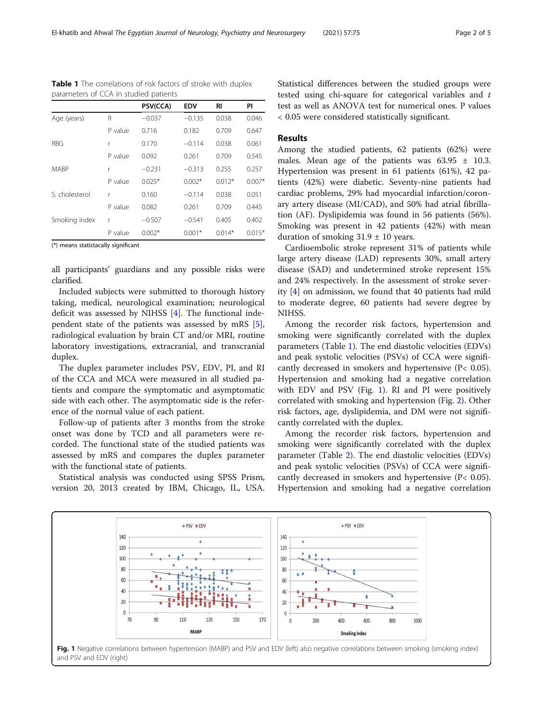|                |         | PSV(CCA) | <b>EDV</b> | RI       | PI       |
|----------------|---------|----------|------------|----------|----------|
| Age (years)    | R       | $-0.037$ | $-0.135$   | 0.038    | 0.046    |
|                | P value | 0.716    | 0.182      | 0.709    | 0.647    |
| <b>RBG</b>     | r       | 0.170    | $-0.114$   | 0.038    | 0.061    |
|                | P value | 0.092    | 0.261      | 0.709    | 0.545    |
| <b>MABP</b>    | r       | $-0.231$ | $-0.313$   | 0.255    | 0.257    |
|                | P value | $0.025*$ | $0.002*$   | $0.012*$ | $0.007*$ |
| S. cholesterol | r       | 0.160    | $-0.114$   | 0.038    | 0.051    |
|                | P value | 0.082    | 0.261      | 0.709    | 0.445    |
| Smoking index  | r       | $-0.507$ | $-0.541$   | 0.405    | 0.402    |
|                | P value | $0.002*$ | $0.001*$   | $0.014*$ | $0.015*$ |

<span id="page-1-0"></span>Table 1 The correlations of risk factors of stroke with duplex parameters of CCA in studied patients

(\*) means statistacally significant

all participants' guardians and any possible risks were clarified.

Included subjects were submitted to thorough history taking, medical, neurological examination; neurological deficit was assessed by NIHSS [\[4](#page-3-0)]. The functional independent state of the patients was assessed by mRS [\[5](#page-3-0)], radiological evaluation by brain CT and/or MRI, routine laboratory investigations, extracranial, and transcranial duplex.

The duplex parameter includes PSV, EDV, PI, and RI of the CCA and MCA were measured in all studied patients and compare the symptomatic and asymptomatic side with each other. The asymptomatic side is the reference of the normal value of each patient.

Follow-up of patients after 3 months from the stroke onset was done by TCD and all parameters were recorded. The functional state of the studied patients was assessed by mRS and compares the duplex parameter with the functional state of patients.

Statistical analysis was conducted using SPSS Prism, version 20, 2013 created by IBM, Chicago, IL, USA.

Statistical differences between the studied groups were tested using chi-square for categorical variables and t test as well as ANOVA test for numerical ones. P values < 0.05 were considered statistically significant.

## Results

Among the studied patients, 62 patients (62%) were males. Mean age of the patients was  $63.95 \pm 10.3$ . Hypertension was present in 61 patients (61%), 42 patients (42%) were diabetic. Seventy-nine patients had cardiac problems, 29% had myocardial infarction/coronary artery disease (MI/CAD), and 50% had atrial fibrillation (AF). Dyslipidemia was found in 56 patients (56%). Smoking was present in 42 patients (42%) with mean duration of smoking  $31.9 \pm 10$  years.

Cardioembolic stroke represent 31% of patients while large artery disease (LAD) represents 30%, small artery disease (SAD) and undetermined stroke represent 15% and 24% respectively. In the assessment of stroke severity [\[4](#page-3-0)] on admission, we found that 40 patients had mild to moderate degree, 60 patients had severe degree by NIHSS.

Among the recorder risk factors, hypertension and smoking were significantly correlated with the duplex parameters (Table 1). The end diastolic velocities (EDVs) and peak systolic velocities (PSVs) of CCA were significantly decreased in smokers and hypertensive (P< 0.05). Hypertension and smoking had a negative correlation with EDV and PSV (Fig. 1). RI and PI were positively correlated with smoking and hypertension (Fig. [2](#page-2-0)). Other risk factors, age, dyslipidemia, and DM were not significantly correlated with the duplex.

Among the recorder risk factors, hypertension and smoking were significantly correlated with the duplex parameter (Table [2](#page-2-0)). The end diastolic velocities (EDVs) and peak systolic velocities (PSVs) of CCA were significantly decreased in smokers and hypertensive (P< 0.05). Hypertension and smoking had a negative correlation



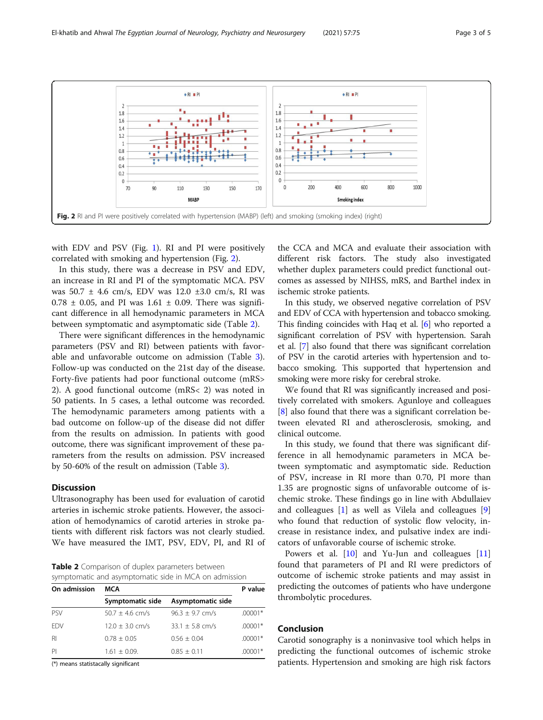<span id="page-2-0"></span>

with EDV and PSV (Fig. [1\)](#page-1-0). RI and PI were positively correlated with smoking and hypertension (Fig. 2).

In this study, there was a decrease in PSV and EDV, an increase in RI and PI of the symptomatic MCA. PSV was 50.7 ± 4.6 cm/s, EDV was 12.0 ±3.0 cm/s, RI was  $0.78 \pm 0.05$ , and PI was  $1.61 \pm 0.09$ . There was significant difference in all hemodynamic parameters in MCA between symptomatic and asymptomatic side (Table 2).

There were significant differences in the hemodynamic parameters (PSV and RI) between patients with favorable and unfavorable outcome on admission (Table [3](#page-3-0)). Follow-up was conducted on the 21st day of the disease. Forty-five patients had poor functional outcome (mRS> 2). A good functional outcome (mRS< 2) was noted in 50 patients. In 5 cases, a lethal outcome was recorded. The hemodynamic parameters among patients with a bad outcome on follow-up of the disease did not differ from the results on admission. In patients with good outcome, there was significant improvement of these parameters from the results on admission. PSV increased by 50-60% of the result on admission (Table [3](#page-3-0)).

## Discussion

Ultrasonography has been used for evaluation of carotid arteries in ischemic stroke patients. However, the association of hemodynamics of carotid arteries in stroke patients with different risk factors was not clearly studied. We have measured the IMT, PSV, EDV, PI, and RI of

Table 2 Comparison of duplex parameters between symptomatic and asymptomatic side in MCA on admission

| On admission    | <b>MCA</b>          | P value             |           |
|-----------------|---------------------|---------------------|-----------|
|                 | Symptomatic side    | Asymptomatic side   |           |
| <b>PSV</b>      | $50.7 \pm 4.6$ cm/s | $96.3 \pm 9.7$ cm/s | $.00001*$ |
| <b>FDV</b>      | $12.0 \pm 3.0$ cm/s | $33.1 \pm 5.8$ cm/s | $.00001*$ |
| $R_{\parallel}$ | $0.78 + 0.05$       | $0.56 + 0.04$       | $.00001*$ |
| PI              | $1.61 + 0.09$       | $0.85 + 0.11$       | .00001*   |

(\*) means statistacally significant

the CCA and MCA and evaluate their association with different risk factors. The study also investigated whether duplex parameters could predict functional outcomes as assessed by NIHSS, mRS, and Barthel index in ischemic stroke patients.

In this study, we observed negative correlation of PSV and EDV of CCA with hypertension and tobacco smoking. This finding coincides with Haq et al. [\[6\]](#page-3-0) who reported a significant correlation of PSV with hypertension. Sarah et al. [\[7](#page-3-0)] also found that there was significant correlation of PSV in the carotid arteries with hypertension and tobacco smoking. This supported that hypertension and smoking were more risky for cerebral stroke.

We found that RI was significantly increased and positively correlated with smokers. Agunloye and colleagues [[8\]](#page-3-0) also found that there was a significant correlation between elevated RI and atherosclerosis, smoking, and clinical outcome.

In this study, we found that there was significant difference in all hemodynamic parameters in MCA between symptomatic and asymptomatic side. Reduction of PSV, increase in RI more than 0.70, PI more than 1.35 are prognostic signs of unfavorable outcome of ischemic stroke. These findings go in line with Abdullaiev and colleagues [[1\]](#page-3-0) as well as Vilela and colleagues [\[9](#page-3-0)] who found that reduction of systolic flow velocity, increase in resistance index, and pulsative index are indicators of unfavorable course of ischemic stroke.

Powers et al. [[10](#page-3-0)] and Yu-Jun and colleagues [[11](#page-4-0)] found that parameters of PI and RI were predictors of outcome of ischemic stroke patients and may assist in predicting the outcomes of patients who have undergone thrombolytic procedures.

## Conclusion

Carotid sonography is a noninvasive tool which helps in predicting the functional outcomes of ischemic stroke patients. Hypertension and smoking are high risk factors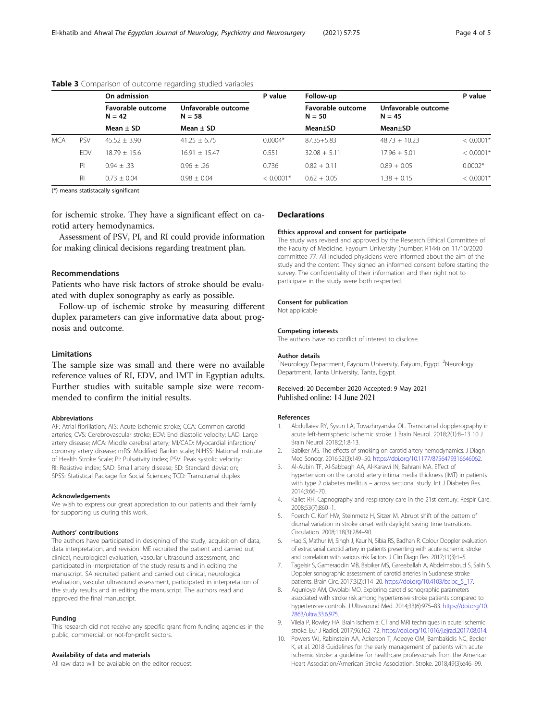|     |            | On admission                  |                                 | P value     | Follow-up                     |                                 | P value                 |
|-----|------------|-------------------------------|---------------------------------|-------------|-------------------------------|---------------------------------|-------------------------|
|     |            | Favorable outcome<br>$N = 42$ | Unfavorable outcome<br>$N = 58$ |             | Favorable outcome<br>$N = 50$ | Unfavorable outcome<br>$N = 45$ |                         |
|     |            | Mean $\pm$ SD                 | Mean $\pm$ SD                   |             | Mean±SD                       | Mean±SD                         |                         |
| MCA | <b>PSV</b> | $45.52 + 3.90$                | $41.25 + 6.75$                  | $0.0004*$   | 87.35+5.83                    | $48.73 + 10.23$                 | $< 0.0001*$             |
|     | <b>FDV</b> | $18.79 + 15.6$                | $16.91 + 15.47$                 | 0.551       | $32.08 + 5.11$                | $17.96 + 5.01$                  | $< 0.0001$ <sup>*</sup> |
|     | PI         | $0.94 + 33$                   | $0.96 + .26$                    | 0.736       | $0.82 + 0.11$                 | $0.89 + 0.05$                   | $0.0002*$               |
|     | RI.        | $0.73 \pm 0.04$               | $0.98 \pm 0.04$                 | $< 0.0001*$ | $0.62 + 0.05$                 | $1.38 + 0.15$                   | $< 0.0001$ <sup>*</sup> |

#### <span id="page-3-0"></span>Table 3 Comparison of outcome regarding studied variables

(\*) means statistacally significant

for ischemic stroke. They have a significant effect on carotid artery hemodynamics.

Assessment of PSV, PI, and RI could provide information for making clinical decisions regarding treatment plan.

### Recommendations

Patients who have risk factors of stroke should be evaluated with duplex sonography as early as possible.

Follow-up of ischemic stroke by measuring different duplex parameters can give informative data about prognosis and outcome.

### Limitations

The sample size was small and there were no available reference values of RI, EDV, and IMT in Egyptian adults. Further studies with suitable sample size were recommended to confirm the initial results.

#### Abbreviations

AF: Atrial fibrillation; AIS: Acute ischemic stroke; CCA: Common carotid arteries; CVS: Cerebrovascular stroke; EDV: End diastolic velocity; LAD: Large artery disease; MCA: Middle cerebral artery; MI/CAD: Myocardial infarction/ coronary artery disease; mRS: Modified Rankin scale; NIHSS: National Institute of Health Stroke Scale; PI: Pulsativity index; PSV: Peak systolic velocity; RI: Resistive index; SAD: Small artery disease; SD: Standard deviation; SPSS: Statistical Package for Social Sciences; TCD: Transcranial duplex

#### Acknowledgements

We wish to express our great appreciation to our patients and their family for supporting us during this work.

#### Authors' contributions

The authors have participated in designing of the study, acquisition of data, data interpretation, and revision. ME recruited the patient and carried out clinical, neurological evaluation, vascular ultrasound assessment, and participated in interpretation of the study results and in editing the manuscript. SA recruited patient and carried out clinical, neurological evaluation, vascular ultrasound assessment, participated in interpretation of the study results and in editing the manuscript. The authors read and approved the final manuscript.

#### Funding

This research did not receive any specific grant from funding agencies in the public, commercial, or not-for-profit sectors.

#### Availability of data and materials

All raw data will be available on the editor request.

#### Declarations

#### Ethics approval and consent for participate

The study was revised and approved by the Research Ethical Committee of the Faculty of Medicine, Fayoum University (number: R144) on 11/10/2020 committee 77. All included physicians were informed about the aim of the study and the content. They signed an informed consent before starting the survey. The confidentiality of their information and their right not to participate in the study were both respected.

#### Consent for publication

Not applicable

## Competing interests The authors have no conflict of interest to disclose.

#### Author details

<sup>1</sup>Neurology Department, Fayoum University, Faiyum, Egypt. <sup>2</sup>Neurology Department, Tanta University, Tanta, Egypt.

## Received: 20 December 2020 Accepted: 9 May 2021<br>Published online: 14 June 2021

#### References

- 1. Abdullaiev RY, Sysun LA, Tovazhnyanska OL. Transcranial dopplerography in acute left-hemispheric ischemic stroke. J Brain Neurol. 2018;2(1):8–13 10 J Brain Neurol 2018:2;1:8-13.
- 2. Babiker MS. The effects of smoking on carotid artery hemodynamics. J Diagn Med Sonogr. 2016;32(3):149–50. <https://doi.org/10.1177/8756479316646062>.
- 3. Al-Aubin TF, Al-Sabbagh AA, Al-Karawi IN, Bahrani MA. Effect of hypertension on the carotid artery intima media thickness (IMT) in patients with type 2 diabetes mellitus – across sectional study. Int J Diabetes Res. 2014;3:66–70.
- 4. Kallet RH. Capnography and respiratory care in the 21st century. Respir Care. 2008;53(7):860–1.
- 5. Foerch C, Korf HW, Steinmetz H, Sitzer M. Abrupt shift of the pattern of diurnal variation in stroke onset with daylight saving time transitions. Circulation. 2008;118(3):284–90.
- 6. Haq S, Mathur M, Singh J, Kaur N, Sibia RS, Badhan R. Colour Doppler evaluation of extracranial carotid artery in patients presenting with acute ischemic stroke and correlation with various risk factors. J Clin Diagn Res. 2017;11(3):1–5.
- 7. Tagelsir S, Gameraddin MB, Babiker MS, Gareeballah A, Abdelmaboud S, Salih S. Doppler sonographic assessment of carotid arteries in Sudanese stroke patients. Brain Circ. 2017;3(2):114–20. [https://doi.org/10.4103/bc.bc\\_5\\_17.](https://doi.org/10.4103/bc.bc_5_17)
- 8. Agunloye AM, Owolabi MO. Exploring carotid sonographic parameters associated with stroke risk among hypertensive stroke patients compared to hypertensive controls. J Ultrasound Med. 2014;33(6):975–83. [https://doi.org/10.](https://doi.org/10.7863/ultra.33.6.975) [7863/ultra.33.6.975.](https://doi.org/10.7863/ultra.33.6.975)
- 9. Vilela P, Rowley HA. Brain ischemia: CT and MRI techniques in acute ischemic stroke. Eur J Radiol. 2017;96:162–72. [https://doi.org/10.1016/j.ejrad.2017.08.014.](https://doi.org/10.1016/j.ejrad.2017.08.014)
- 10. Powers WJ, Rabinstein AA, Ackerson T, Adeoye OM, Bambakidis NC, Becker K, et al. 2018 Guidelines for the early management of patients with acute ischemic stroke: a guideline for healthcare professionals from the American Heart Association/American Stroke Association. Stroke. 2018;49(3):e46–99.